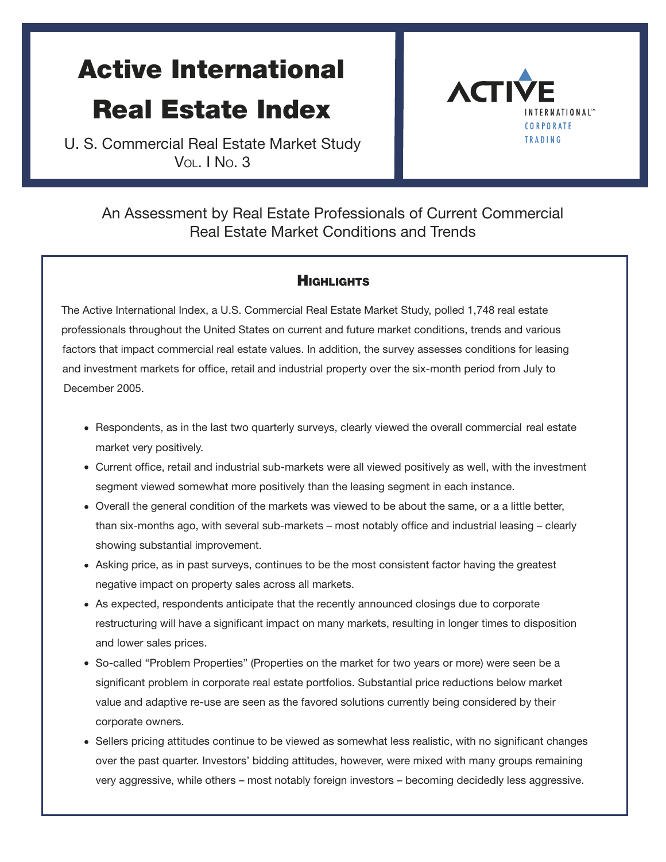# Active International Real Estate Index

U. S. Commercial Real Estate Market Study VOL. I NO. 3



# An Assessment by Real Estate Professionals of Current Commercial Real Estate Market Conditions and Trends

#### **HIGHLIGHTS**

The Active International Index, a U.S. Commercial Real Estate Market Study, polled 1,748 real estate professionals throughout the United States on current and future market conditions, trends and various factors that impact commercial real estate values. In addition, the survey assesses conditions for leasing and investment markets for office, retail and industrial property over the six-month period from July to December 2005.

- Respondents, as in the last two quarterly surveys, clearly viewed the overall commercial real estate market very positively.
- Current office, retail and industrial sub-markets were all viewed positively as well, with the investment segment viewed somewhat more positively than the leasing segment in each instance.
- Overall the general condition of the markets was viewed to be about the same, or a a little better, than six-months ago, with several sub-markets – most notably office and industrial leasing – clearly showing substantial improvement.
- Asking price, as in past surveys, continues to be the most consistent factor having the greatest negative impact on property sales across all markets.
- As expected, respondents anticipate that the recently announced closings due to corporate restructuring will have a significant impact on many markets, resulting in longer times to disposition and lower sales prices.
- So-called "Problem Properties" (Properties on the market for two years or more) were seen be a significant problem in corporate real estate portfolios. Substantial price reductions below market value and adaptive re-use are seen as the favored solutions currently being considered by their corporate owners.
- Sellers pricing attitudes continue to be viewed as somewhat less realistic, with no significant changes over the past quarter. Investors' bidding attitudes, however, were mixed with many groups remaining very aggressive, while others – most notably foreign investors – becoming decidedly less aggressive.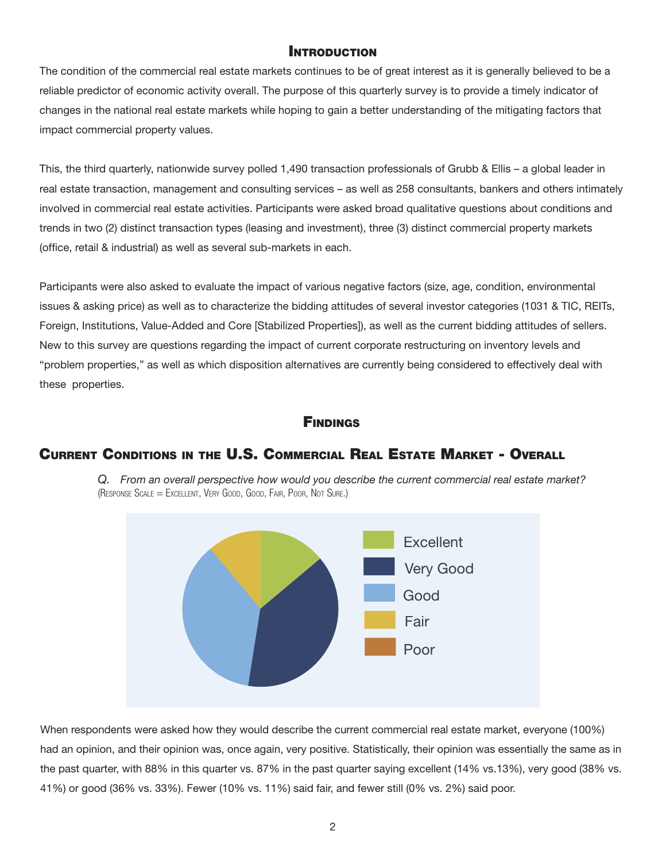#### INTRODUCTION

The condition of the commercial real estate markets continues to be of great interest as it is generally believed to be a reliable predictor of economic activity overall. The purpose of this quarterly survey is to provide a timely indicator of changes in the national real estate markets while hoping to gain a better understanding of the mitigating factors that impact commercial property values.

This, the third quarterly, nationwide survey polled 1,490 transaction professionals of Grubb & Ellis – a global leader in real estate transaction, management and consulting services – as well as 258 consultants, bankers and others intimately involved in commercial real estate activities. Participants were asked broad qualitative questions about conditions and trends in two (2) distinct transaction types (leasing and investment), three (3) distinct commercial property markets (office, retail & industrial) as well as several sub-markets in each.

Participants were also asked to evaluate the impact of various negative factors (size, age, condition, environmental issues & asking price) as well as to characterize the bidding attitudes of several investor categories (1031 & TIC, REITs, Foreign, Institutions, Value-Added and Core [Stabilized Properties]), as well as the current bidding attitudes of sellers. New to this survey are questions regarding the impact of current corporate restructuring on inventory levels and "problem properties," as well as which disposition alternatives are currently being considered to effectively deal with these properties.

#### **FINDINGS**

#### CURRENT CONDITIONS IN THE U.S. COMMERCIAL REAL ESTATE MARKET - OVERALL

*Q. From an overall perspective how would you describe the current commercial real estate market?* (RESPONSE SCALE = EXCELLENT, VERY GOOD, GOOD, FAIR, POOR, NOT SURE.)



When respondents were asked how they would describe the current commercial real estate market, everyone (100%) had an opinion, and their opinion was, once again, very positive. Statistically, their opinion was essentially the same as in the past quarter, with 88% in this quarter vs. 87% in the past quarter saying excellent (14% vs.13%), very good (38% vs. 41%) or good (36% vs. 33%). Fewer (10% vs. 11%) said fair, and fewer still (0% vs. 2%) said poor.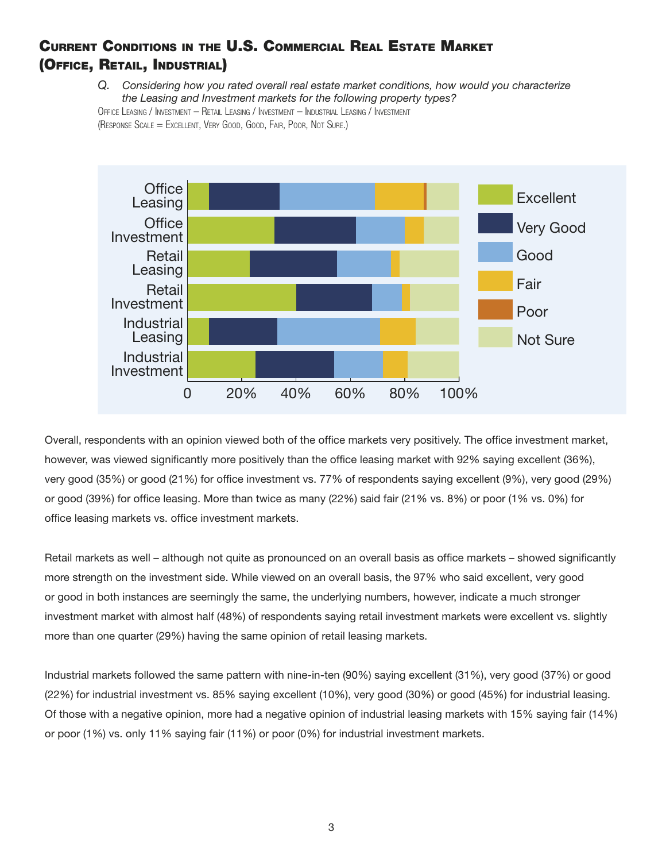# CURRENT CONDITIONS IN THE U.S. COMMERCIAL REAL ESTATE MARKET (OFFICE, RETAIL, INDUSTRIAL)

Q. Considering how you rated overall real estate market conditions, how would you characterize the Leasing and Investment markets for the following property types? OFFICE LEASING / INVESTMENT - RETAIL LEASING / INVESTMENT - INDUSTRIAL LEASING / INVESTMENT (RESPONSE SCALE = EXCELLENT, VERY GOOD, GOOD, FAIR, POOR, NOT SURE.)



Overall, respondents with an opinion viewed both of the office markets very positively. The office investment market, however, was viewed significantly more positively than the office leasing market with 92% saying excellent (36%), very good (35%) or good (21%) for office investment vs. 77% of respondents saying excellent (9%), very good (29%) or good (39%) for office leasing. More than twice as many (22%) said fair (21% vs. 8%) or poor (1% vs. 0%) for office leasing markets vs. office investment markets.

Retail markets as well – although not quite as pronounced on an overall basis as office markets – showed significantly more strength on the investment side. While viewed on an overall basis, the 97% who said excellent, very good or good in both instances are seemingly the same, the underlying numbers, however, indicate a much stronger investment market with almost half (48%) of respondents saying retail investment markets were excellent vs. slightly more than one quarter (29%) having the same opinion of retail leasing markets.

Industrial markets followed the same pattern with nine-in-ten (90%) saying excellent (31%), very good (37%) or good (22%) for industrial investment vs. 85% saying excellent (10%), very good (30%) or good (45%) for industrial leasing. Of those with a negative opinion, more had a negative opinion of industrial leasing markets with 15% saying fair (14%) or poor (1%) vs. only 11% saying fair (11%) or poor (0%) for industrial investment markets.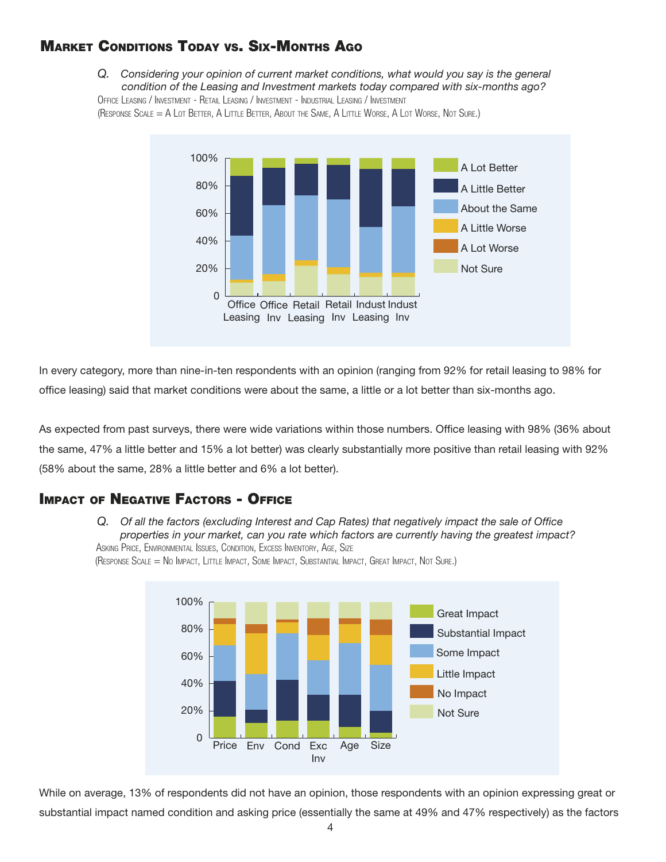## **MARKET CONDITIONS TODAY VS. SIX-MONTHS AGO**

Q. Considering your opinion of current market conditions, what would you say is the general condition of the Leasing and Investment markets today compared with six-months ago? OFFICE LEASING / INVESTMENT - RETAIL LEASING / INVESTMENT - INDUSTRIAL LEASING / INVESTMENT

(RESPONSE SCALE = A LOT BETTER, A LITTLE BETTER, ABOUT THE SAME, A LITTLE WORSE, A LOT WORSE, NOT SURE.)



In every category, more than nine-in-ten respondents with an opinion (ranging from 92% for retail leasing to 98% for office leasing) said that market conditions were about the same, a little or a lot better than six-months ago.

As expected from past surveys, there were wide variations within those numbers. Office leasing with 98% (36% about the same, 47% a little better and 15% a lot better) was clearly substantially more positive than retail leasing with 92% (58% about the same, 28% a little better and 6% a lot better).

#### **IMPACT OF NEGATIVE FACTORS - OFFICE**

Q. Of all the factors (excluding Interest and Cap Rates) that negatively impact the sale of Office properties in your market, can you rate which factors are currently having the greatest impact? ASKING PRICE, ENVIRONMENTAL ISSUES, CONDITION, EXCESS INVENTORY, AGE, SIZE



(RESPONSE SCALE = NO IMPACT, LITTLE IMPACT, SOME IMPACT, SUBSTANTIAL IMPACT, GREAT IMPACT, NOT SURE.)

While on average, 13% of respondents did not have an opinion, those respondents with an opinion expressing great or substantial impact named condition and asking price (essentially the same at 49% and 47% respectively) as the factors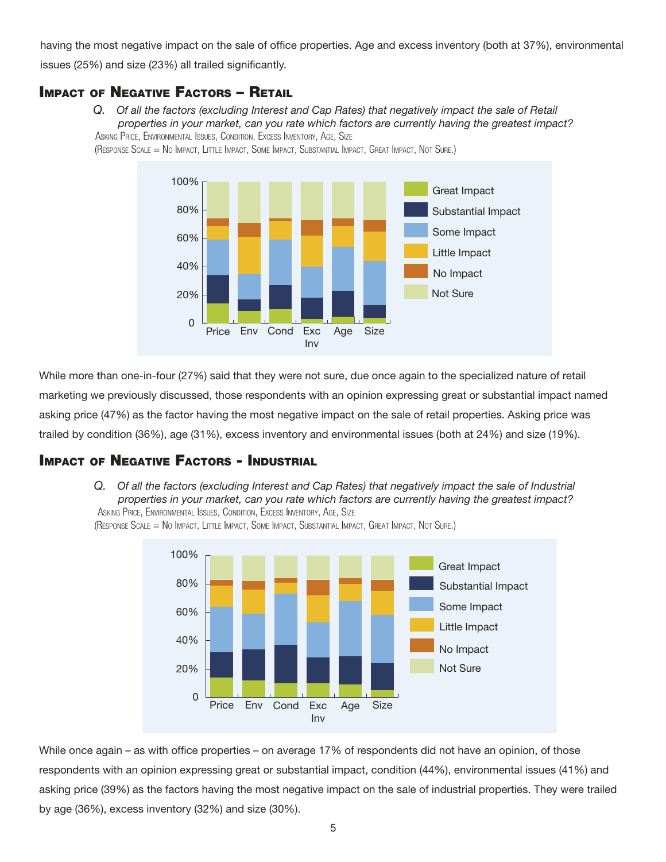having the most negative impact on the sale of office properties. Age and excess inventory (both at 37%), environmental issues (25%) and size (23%) all trailed significantly.

#### **IMPACT OF NEGATIVE FACTORS - RETAIL**

Q. Of all the factors (excluding Interest and Cap Rates) that negatively impact the sale of Retail properties in your market, can you rate which factors are currently having the greatest impact? ASKING PRICE, ENVIRONMENTAL ISSUES, CONDITION, EXCESS INVENTORY, AGE, SIZE





While more than one-in-four (27%) said that they were not sure, due once again to the specialized nature of retail marketing we previously discussed, those respondents with an opinion expressing great or substantial impact named asking price (47%) as the factor having the most negative impact on the sale of retail properties. Asking price was trailed by condition (36%), age (31%), excess inventory and environmental issues (both at 24%) and size (19%).

## **IMPACT OF NEGATIVE FACTORS - INDUSTRIAL**

Q. Of all the factors (excluding Interest and Cap Rates) that negatively impact the sale of Industrial properties in your market, can you rate which factors are currently having the greatest impact? ASKING PRICE, ENVIRONMENTAL ISSUES, CONDITION, EXCESS INVENTORY, AGE, SIZE



(RESPONSE SCALE = NO IMPACT, LITTLE IMPACT, SOME IMPACT, SUBSTANTIAL IMPACT, GREAT IMPACT, NOT SURE.)

While once again – as with office properties – on average 17% of respondents did not have an opinion, of those respondents with an opinion expressing great or substantial impact, condition (44%), environmental issues (41%) and asking price (39%) as the factors having the most negative impact on the sale of industrial properties. They were trailed by age (36%), excess inventory (32%) and size (30%).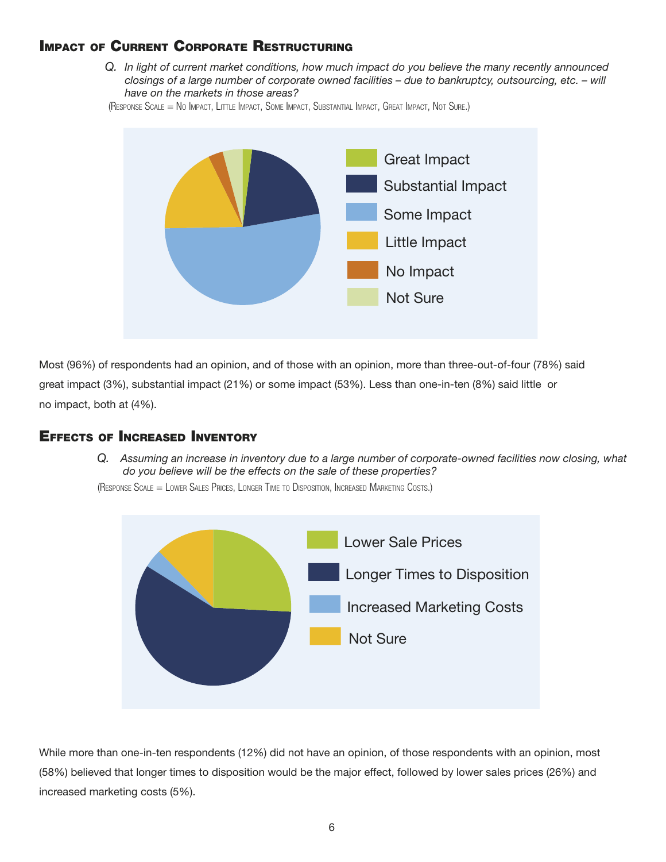## **IMPACT OF CURRENT CORPORATE RESTRUCTURING**

Q. In light of current market conditions, how much impact do you believe the many recently announced closings of a large number of corporate owned facilities  $-$  due to bankruptcy, outsourcing, etc.  $-$  will have on the markets in those areas?

(RESPONSE SCALE = NO IMPACT, LITTLE IMPACT, SOME IMPACT, SUBSTANTIAL IMPACT, GREAT IMPACT, NOT SURE.)



Most (96%) of respondents had an opinion, and of those with an opinion, more than three-out-of-four (78%) said great impact (3%), substantial impact (21%) or some impact (53%). Less than one-in-ten (8%) said little or no impact, both at (4%).

#### **EFFECTS OF INCREASED INVENTORY**

Q. Assuming an increase in inventory due to a large number of corporate-owned facilities now closing, what do you believe will be the effects on the sale of these properties?

(RESPONSE SCALE = LOWER SALES PRICES, LONGER TIME TO DISPOSITION, INCREASED MARKETING COSTS.)



While more than one-in-ten respondents (12%) did not have an opinion, of those respondents with an opinion, most (58%) believed that longer times to disposition would be the major effect, followed by lower sales prices (26%) and increased marketing costs (5%).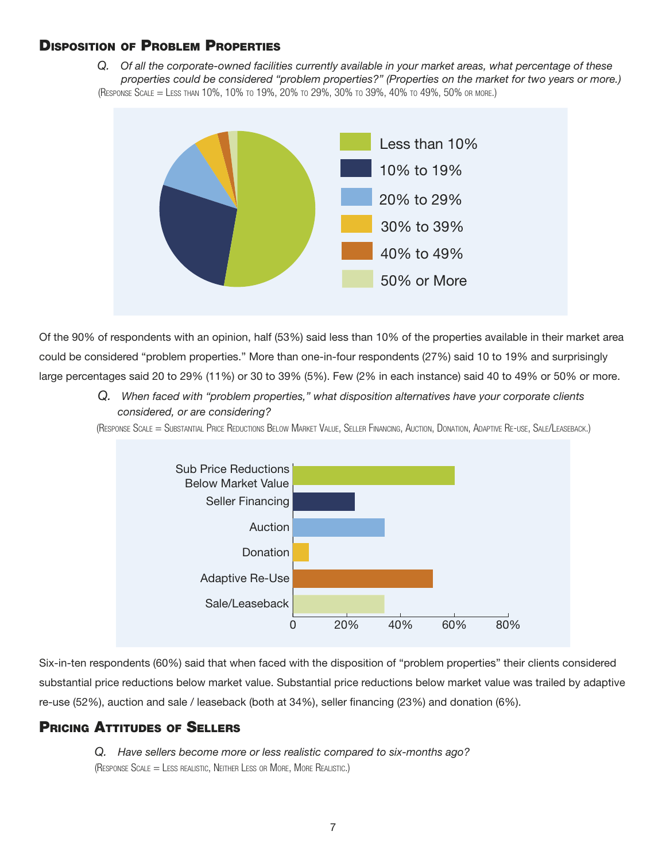#### **DISPOSITION OF PROBLEM PROPERTIES**

Q. Of all the corporate-owned facilities currently available in your market areas, what percentage of these properties could be considered "problem properties?" (Properties on the market for two years or more.) (RESPONSE SCALE = LESS THAN 10%, 10% TO 19%, 20% TO 29%, 30% TO 39%, 40% TO 49%, 50% OR MORE.)



Of the 90% of respondents with an opinion, half (53%) said less than 10% of the properties available in their market area could be considered "problem properties." More than one-in-four respondents (27%) said 10 to 19% and surprisingly large percentages said 20 to 29% (11%) or 30 to 39% (5%). Few (2% in each instance) said 40 to 49% or 50% or more.

> Q. When faced with "problem properties," what disposition alternatives have your corporate clients considered, or are considering?

(RESPONSE SCALE = SUBSTANTIAL PRICE REDUCTIONS BELOW MARKET VALUE, SELLER FINANCING, AUCTION, DONATION, ADAPTIVE RE-USE, SALE/LEASEBACK.)



Six-in-ten respondents (60%) said that when faced with the disposition of "problem properties" their clients considered substantial price reductions below market value. Substantial price reductions below market value was trailed by adaptive re-use (52%), auction and sale / leaseback (both at 34%), seller financing (23%) and donation (6%).

#### **PRICING ATTITUDES OF SELLERS**

Q. Have sellers become more or less realistic compared to six-months ago? (RESPONSE  $S$ cale = LESS REALISTIC, NEITHER LESS OR MORE, MORE REALISTIC.)